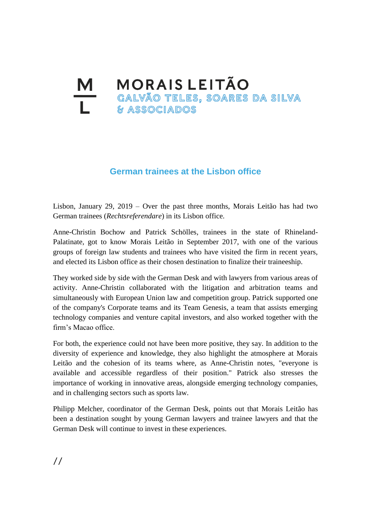## **M MORAIS LEITÃO**<br>Le Calvão Teles, soares da silva<br>Le *se* associados **& ASSOCIADOS**

## **German trainees at the Lisbon office**

Lisbon, January 29, 2019 – Over the past three months, Morais Leitão has had two German trainees (*Rechtsreferendare*) in its Lisbon office.

Anne-Christin Bochow and Patrick Schölles, trainees in the state of Rhineland-Palatinate, got to know Morais Leitão in September 2017, with one of the various groups of foreign law students and trainees who have visited the firm in recent years, and elected its Lisbon office as their chosen destination to finalize their traineeship.

They worked side by side with the German Desk and with lawyers from various areas of activity. Anne-Christin collaborated with the litigation and arbitration teams and simultaneously with European Union law and competition group. Patrick supported one of the company's Corporate teams and its Team Genesis, a team that assists emerging technology companies and venture capital investors, and also worked together with the firm's Macao office.

For both, the experience could not have been more positive, they say. In addition to the diversity of experience and knowledge, they also highlight the atmosphere at Morais Leitão and the cohesion of its teams where, as Anne-Christin notes, "everyone is available and accessible regardless of their position." Patrick also stresses the importance of working in innovative areas, alongside emerging technology companies, and in challenging sectors such as sports law.

Philipp Melcher, coordinator of the German Desk, points out that Morais Leitão has been a destination sought by young German lawyers and trainee lawyers and that the German Desk will continue to invest in these experiences.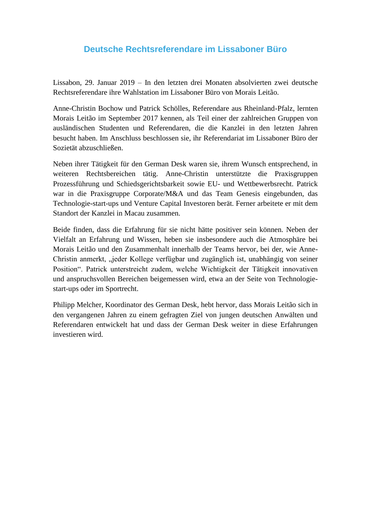## **Deutsche Rechtsreferendare im Lissaboner Büro**

Lissabon, 29. Januar 2019 – In den letzten drei Monaten absolvierten zwei deutsche Rechtsreferendare ihre Wahlstation im Lissaboner Büro von Morais Leitão.

Anne-Christin Bochow und Patrick Schölles, Referendare aus Rheinland-Pfalz, lernten Morais Leitão im September 2017 kennen, als Teil einer der zahlreichen Gruppen von ausländischen Studenten und Referendaren, die die Kanzlei in den letzten Jahren besucht haben. Im Anschluss beschlossen sie, ihr Referendariat im Lissaboner Büro der Sozietät abzuschließen.

Neben ihrer Tätigkeit für den German Desk waren sie, ihrem Wunsch entsprechend, in weiteren Rechtsbereichen tätig. Anne-Christin unterstützte die Praxisgruppen Prozessführung und Schiedsgerichtsbarkeit sowie EU- und Wettbewerbsrecht. Patrick war in die Praxisgruppe Corporate/M&A und das Team Genesis eingebunden, das Technologie-start-ups und Venture Capital Investoren berät. Ferner arbeitete er mit dem Standort der Kanzlei in Macau zusammen.

Beide finden, dass die Erfahrung für sie nicht hätte positiver sein können. Neben der Vielfalt an Erfahrung und Wissen, heben sie insbesondere auch die Atmosphäre bei Morais Leitão und den Zusammenhalt innerhalb der Teams hervor, bei der, wie Anne-Christin anmerkt, "jeder Kollege verfügbar und zugänglich ist, unabhängig von seiner Position". Patrick unterstreicht zudem, welche Wichtigkeit der Tätigkeit innovativen und anspruchsvollen Bereichen beigemessen wird, etwa an der Seite von Technologiestart-ups oder im Sportrecht.

Philipp Melcher, Koordinator des German Desk, hebt hervor, dass Morais Leitão sich in den vergangenen Jahren zu einem gefragten Ziel von jungen deutschen Anwälten und Referendaren entwickelt hat und dass der German Desk weiter in diese Erfahrungen investieren wird.